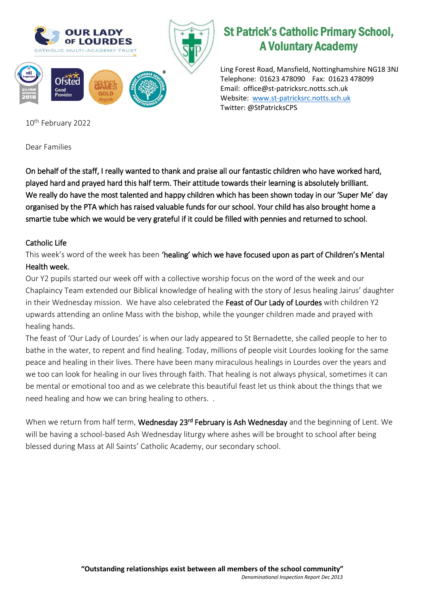

## St Patrick's Catholic Primary School, A Voluntary Academy

Ling Forest Road, Mansfield, Nottinghamshire NG18 3NJ Telephone: 01623 478090 Fax: 01623 478099 Email: office@st-patricksrc.notts.sch.uk Website: [www.st-patricksrc.notts.sch.uk](http://www.st-patricksrc.notts.sch.uk/) Twitter: @StPatricksCPS

10th February 2022

Dear Families

On behalf of the staff, I really wanted to thank and praise all our fantastic children who have worked hard, played hard and prayed hard this half term. Their attitude towards their learning is absolutely brilliant. We really do have the most talented and happy children which has been shown today in our 'Super Me' day organised by the PTA which has raised valuable funds for our school. Your child has also brought home a smartie tube which we would be very grateful if it could be filled with pennies and returned to school.

## Catholic Life

This week's word of the week has been 'healing' which we have focused upon as part of Children's Mental Health week.

Our Y2 pupils started our week off with a collective worship focus on the word of the week and our Chaplaincy Team extended our Biblical knowledge of healing with the story of Jesus healing Jairus' daughter in their Wednesday mission. We have also celebrated the Feast of Our Lady of Lourdes with children Y2 upwards attending an online Mass with the bishop, while the younger children made and prayed with healing hands.

The feast of 'Our Lady of Lourdes' is when our lady appeared to St Bernadette, she called people to her to bathe in the water, to repent and find healing. Today, millions of people visit Lourdes looking for the same peace and healing in their lives. There have been many miraculous healings in Lourdes over the years and we too can look for healing in our lives through faith. That healing is not always physical, sometimes it can be mental or emotional too and as we celebrate this beautiful feast let us think about the things that we need healing and how we can bring healing to others. .

When we return from half term, Wednesday 23<sup>rd</sup> February is Ash Wednesday and the beginning of Lent. We will be having a school-based Ash Wednesday liturgy where ashes will be brought to school after being blessed during Mass at All Saints' Catholic Academy, our secondary school.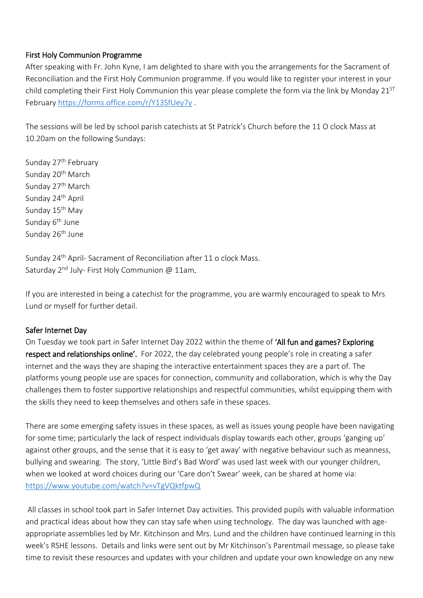#### First Holy Communion Programme

After speaking with Fr. John Kyne, I am delighted to share with you the arrangements for the Sacrament of Reconciliation and the First Holy Communion programme. If you would like to register your interest in your child completing their First Holy Communion this year please complete the form via the link by Monday  $21^{5T}$ February<https://forms.office.com/r/Y13SfUey7y> .

The sessions will be led by school parish catechists at St Patrick's Church before the 11 O clock Mass at 10.20am on the following Sundays:

Sunday 27<sup>th</sup> February Sunday 20<sup>th</sup> March Sunday 27<sup>th</sup> March Sunday 24<sup>th</sup> April Sunday 15<sup>th</sup> May Sunday  $6<sup>th</sup>$  June Sunday 26<sup>th</sup> June

Sunday 24<sup>th</sup> April- Sacrament of Reconciliation after 11 o clock Mass. Saturday 2<sup>nd</sup> July- First Holy Communion @ 11am.

If you are interested in being a catechist for the programme, you are warmly encouraged to speak to Mrs Lund or myself for further detail.

#### Safer Internet Day

On Tuesday we took part in Safer Internet Day 2022 within the theme of 'All fun and games? Exploring respect and relationships online'. For 2022, the day celebrated young people's role in creating a safer internet and the ways they are shaping the interactive entertainment spaces they are a part of. The platforms young people use are spaces for connection, community and collaboration, which is why the Day challenges them to foster supportive relationships and respectful communities, whilst equipping them with the skills they need to keep themselves and others safe in these spaces.

There are some emerging safety issues in these spaces, as well as issues young people have been navigating for some time; particularly the lack of respect individuals display towards each other, groups 'ganging up' against other groups, and the sense that it is easy to 'get away' with negative behaviour such as meanness, bullying and swearing. The story, 'Little Bird's Bad Word' was used last week with our younger children, when we looked at word choices during our 'Care don't Swear' week, can be shared at home via: <https://www.youtube.com/watch?v=vTgVQktfpwQ>

All classes in school took part in Safer Internet Day activities. This provided pupils with valuable information and practical ideas about how they can stay safe when using technology. The day was launched with ageappropriate assemblies led by Mr. Kitchinson and Mrs. Lund and the children have continued learning in this week's RSHE lessons. Details and links were sent out by Mr Kitchinson's Parentmail message, so please take time to revisit these resources and updates with your children and update your own knowledge on any new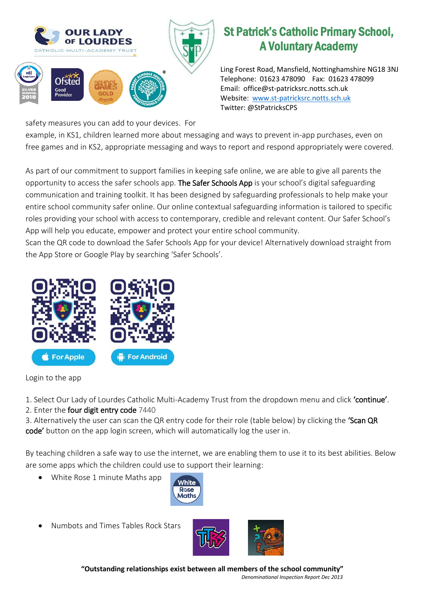

# St Patrick's Catholic Primary School, A Voluntary Academy

Ling Forest Road, Mansfield, Nottinghamshire NG18 3NJ Telephone: 01623 478090 Fax: 01623 478099 Email: office@st-patricksrc.notts.sch.uk Website: [www.st-patricksrc.notts.sch.uk](http://www.st-patricksrc.notts.sch.uk/) Twitter: @StPatricksCPS

safety measures you can add to your devices. For

example, in KS1, children learned more about messaging and ways to prevent in-app purchases, even on free games and in KS2, appropriate messaging and ways to report and respond appropriately were covered.

As part of our commitment to support families in keeping safe online, we are able to give all parents the opportunity to access the safer schools app. The Safer Schools App is your school's digital safeguarding communication and training toolkit. It has been designed by safeguarding professionals to help make your entire school community safer online. Our online contextual safeguarding information is tailored to specific roles providing your school with access to contemporary, credible and relevant content. Our Safer School's App will help you educate, empower and protect your entire school community.

Scan the QR code to download the Safer Schools App for your device! Alternatively download straight from the App Store or Google Play by searching 'Safer Schools'.



Login to the app

1. Select Our Lady of Lourdes Catholic Multi-Academy Trust from the dropdown menu and click 'continue'.

### 2. Enter the four digit entry code 7440

3. Alternatively the user can scan the QR entry code for their role (table below) by clicking the 'Scan QR code' button on the app login screen, which will automatically log the user in.

By teaching children a safe way to use the internet, we are enabling them to use it to its best abilities. Below are some apps which the children could use to support their learning:

White Rose 1 minute Maths app



Numbots and Times Tables Rock Stars



**"Outstanding relationships exist between all members of the school community"** *Denominational Inspection Report Dec 2013*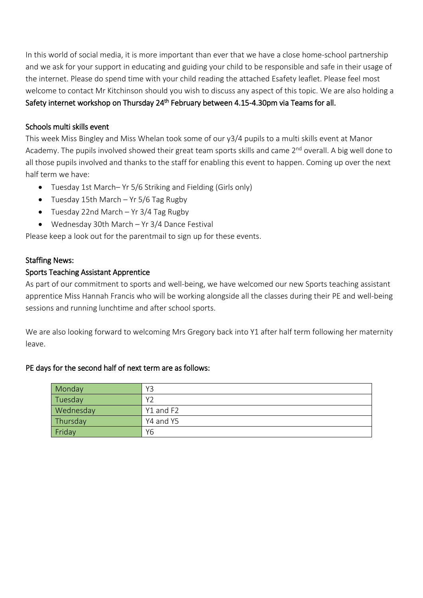In this world of social media, it is more important than ever that we have a close home-school partnership and we ask for your support in educating and guiding your child to be responsible and safe in their usage of the internet. Please do spend time with your child reading the attached Esafety leaflet. Please feel most welcome to contact Mr Kitchinson should you wish to discuss any aspect of this topic. We are also holding a Safety internet workshop on Thursday 24<sup>th</sup> February between 4.15-4.30pm via Teams for all.

#### Schools multi skills event

This week Miss Bingley and Miss Whelan took some of our y3/4 pupils to a multi skills event at Manor Academy. The pupils involved showed their great team sports skills and came 2<sup>nd</sup> overall. A big well done to all those pupils involved and thanks to the staff for enabling this event to happen. Coming up over the next half term we have:

- Tuesday 1st March– Yr 5/6 Striking and Fielding (Girls only)
- Tuesday 15th March Yr 5/6 Tag Rugby
- Tuesday 22nd March Yr 3/4 Tag Rugby
- Wednesday 30th March Yr 3/4 Dance Festival

Please keep a look out for the parentmail to sign up for these events.

#### Staffing News:

#### Sports Teaching Assistant Apprentice

As part of our commitment to sports and well-being, we have welcomed our new Sports teaching assistant apprentice Miss Hannah Francis who will be working alongside all the classes during their PE and well-being sessions and running lunchtime and after school sports.

We are also looking forward to welcoming Mrs Gregory back into Y1 after half term following her maternity leave.

#### PE days for the second half of next term are as follows:

| Monday    | Y3        |
|-----------|-----------|
| Tuesday   | Υ2        |
| Wednesday | Y1 and F2 |
| Thursday  | Y4 and Y5 |
| Friday    | Υ6        |